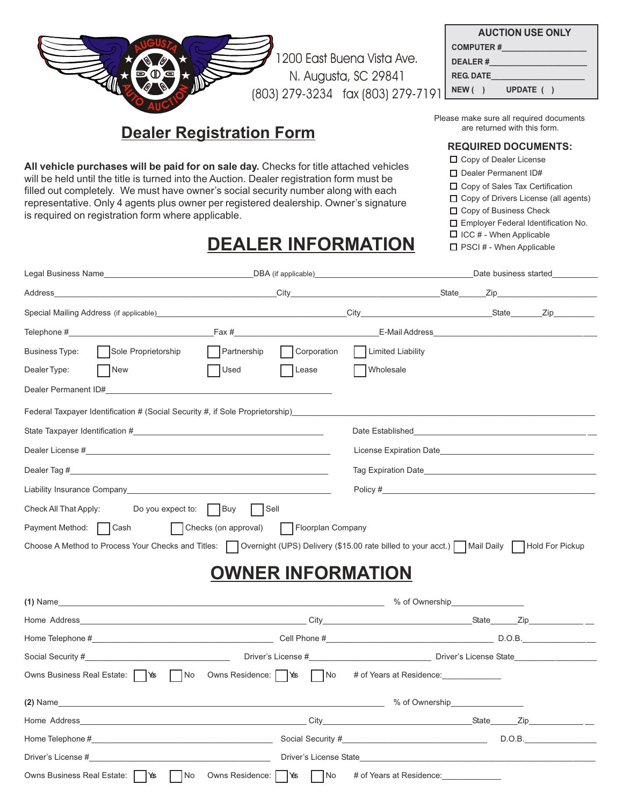|                                                                                                                                                                                                                                                                                                                                                                                                                          |                                   | <b>AUCTION USE ONLY</b>                                                                                                                                                                                                                |  |  |
|--------------------------------------------------------------------------------------------------------------------------------------------------------------------------------------------------------------------------------------------------------------------------------------------------------------------------------------------------------------------------------------------------------------------------|-----------------------------------|----------------------------------------------------------------------------------------------------------------------------------------------------------------------------------------------------------------------------------------|--|--|
|                                                                                                                                                                                                                                                                                                                                                                                                                          |                                   |                                                                                                                                                                                                                                        |  |  |
|                                                                                                                                                                                                                                                                                                                                                                                                                          | 200 East Buena Vista Ave.         |                                                                                                                                                                                                                                        |  |  |
|                                                                                                                                                                                                                                                                                                                                                                                                                          | N. Augusta, SC 29841              | <b>REG. DATE REG. DATE</b>                                                                                                                                                                                                             |  |  |
|                                                                                                                                                                                                                                                                                                                                                                                                                          | (803) 279-3234 fax (803) 279-7191 | NEW ( ) UPDATE ( )                                                                                                                                                                                                                     |  |  |
| <b>Dealer Registration Form</b>                                                                                                                                                                                                                                                                                                                                                                                          |                                   | Please make sure all required documents<br>are returned with this form.                                                                                                                                                                |  |  |
|                                                                                                                                                                                                                                                                                                                                                                                                                          |                                   | <b>REQUIRED DOCUMENTS:</b>                                                                                                                                                                                                             |  |  |
| All vehicle purchases will be paid for on sale day. Checks for title attached vehicles<br>will be held until the title is turned into the Auction. Dealer registration form must be<br>filled out completely. We must have owner's social security number along with each<br>representative. Only 4 agents plus owner per registered dealership. Owner's signature<br>is required on registration form where applicable. |                                   | □ Copy of Dealer License<br>□ Dealer Permanent ID#<br>□ Copy of Sales Tax Certification<br>□ Copy of Drivers License (all agents)<br>□ Copy of Business Check<br>Employer Federal Identification No.<br>$\Box$ ICC # - When Applicable |  |  |
|                                                                                                                                                                                                                                                                                                                                                                                                                          | <b>DEALER INFORMATION</b>         | □ PSCI # - When Applicable                                                                                                                                                                                                             |  |  |
|                                                                                                                                                                                                                                                                                                                                                                                                                          |                                   |                                                                                                                                                                                                                                        |  |  |
|                                                                                                                                                                                                                                                                                                                                                                                                                          |                                   |                                                                                                                                                                                                                                        |  |  |
|                                                                                                                                                                                                                                                                                                                                                                                                                          |                                   |                                                                                                                                                                                                                                        |  |  |
|                                                                                                                                                                                                                                                                                                                                                                                                                          |                                   |                                                                                                                                                                                                                                        |  |  |
| $\Box$ Partnership<br>Sole Proprietorship<br>Business Type:                                                                                                                                                                                                                                                                                                                                                              | Corporation   Limited Liability   |                                                                                                                                                                                                                                        |  |  |
| New<br>Used<br>Dealer Type:                                                                                                                                                                                                                                                                                                                                                                                              | Wholesale<br>  Lease              |                                                                                                                                                                                                                                        |  |  |
|                                                                                                                                                                                                                                                                                                                                                                                                                          |                                   |                                                                                                                                                                                                                                        |  |  |
| Federal Taxpayer Identification # (Social Security #, if Sole Proprietorship)________                                                                                                                                                                                                                                                                                                                                    |                                   |                                                                                                                                                                                                                                        |  |  |
|                                                                                                                                                                                                                                                                                                                                                                                                                          |                                   | Date Established and the state of the state of the state of the state of the state of the state of the state of the state of the state of the state of the state of the state of the state of the state of the state of the st         |  |  |
|                                                                                                                                                                                                                                                                                                                                                                                                                          |                                   | License Expiration Date                                                                                                                                                                                                                |  |  |
|                                                                                                                                                                                                                                                                                                                                                                                                                          |                                   |                                                                                                                                                                                                                                        |  |  |
|                                                                                                                                                                                                                                                                                                                                                                                                                          |                                   | Tag Expiration Date                                                                                                                                                                                                                    |  |  |
| Liability Insurance Company that is a state of the control of the control of the control of the control of the                                                                                                                                                                                                                                                                                                           |                                   |                                                                                                                                                                                                                                        |  |  |
| Do you expect to: $\Box$ Buy<br>Check All That Apply:                                                                                                                                                                                                                                                                                                                                                                    | $\vert$ Sell                      |                                                                                                                                                                                                                                        |  |  |
| Checks (on approval)<br>Payment Method:<br>  Cash                                                                                                                                                                                                                                                                                                                                                                        | Floorplan Company                 |                                                                                                                                                                                                                                        |  |  |
| Choose A Method to Process Your Checks and Titles: ◯ Overnight (UPS) Delivery (\$15.00 rate billed to your acct.) ◯ Mail Daily ◯ Hold For Pickup                                                                                                                                                                                                                                                                         |                                   |                                                                                                                                                                                                                                        |  |  |
|                                                                                                                                                                                                                                                                                                                                                                                                                          | <b>OWNER INFORMATION</b>          |                                                                                                                                                                                                                                        |  |  |
|                                                                                                                                                                                                                                                                                                                                                                                                                          |                                   |                                                                                                                                                                                                                                        |  |  |
|                                                                                                                                                                                                                                                                                                                                                                                                                          |                                   |                                                                                                                                                                                                                                        |  |  |
|                                                                                                                                                                                                                                                                                                                                                                                                                          |                                   |                                                                                                                                                                                                                                        |  |  |
|                                                                                                                                                                                                                                                                                                                                                                                                                          |                                   |                                                                                                                                                                                                                                        |  |  |
| Owns Business Real Estate:   \\\\times \ \\times \ \\times \ \\times Residence:   \\times \ \\times Residence: \ \\times \ \ \\times Residence: \ \\times \ \ \\times Residence: \ \ \times \ \ \ \ \ \ \ \ \ \ \ \ \ \ \ \ \                                                                                                                                                                                            |                                   | # of Years at Residence:                                                                                                                                                                                                               |  |  |
|                                                                                                                                                                                                                                                                                                                                                                                                                          |                                   |                                                                                                                                                                                                                                        |  |  |
|                                                                                                                                                                                                                                                                                                                                                                                                                          |                                   |                                                                                                                                                                                                                                        |  |  |
|                                                                                                                                                                                                                                                                                                                                                                                                                          |                                   |                                                                                                                                                                                                                                        |  |  |
|                                                                                                                                                                                                                                                                                                                                                                                                                          |                                   |                                                                                                                                                                                                                                        |  |  |
| Owns Business Real Estate:   \\\\]\\$\$ \[\] No \to Owns Residence: [                                                                                                                                                                                                                                                                                                                                                    | ା∕ଈ<br>No                         | # of Years at Residence: ______________                                                                                                                                                                                                |  |  |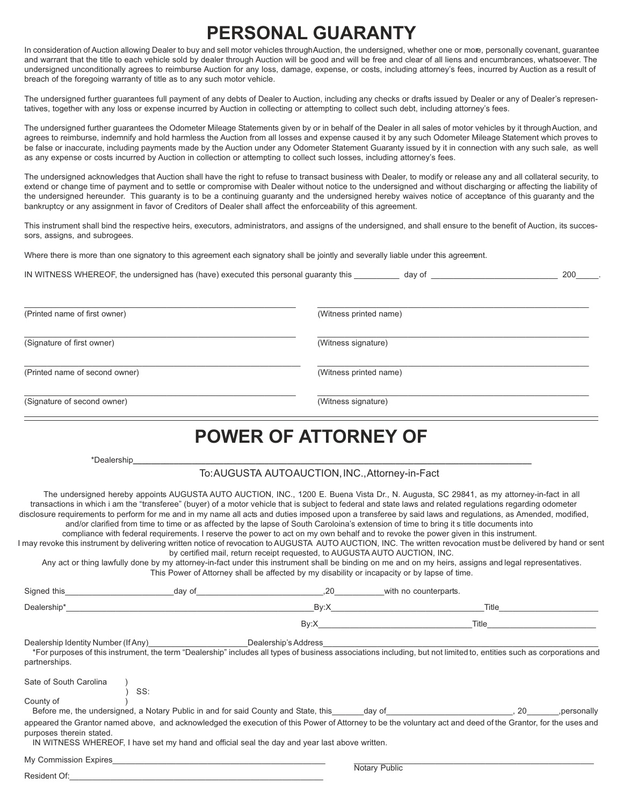## **PERSONAL GUARANTY**

In consideration of Auction allowing Dealer to buy and sell motor vehicles through Auction, the undersigned, whether one or more, personally covenant, guarantee and warrant that the title to each vehicle sold by dealer through Auction will be good and will be free and clear of all liens and encumbrances, whatsoever. The undersigned unconditionally agrees to reimburse Auction for any loss, damage, expense, or costs, including attorney's fees, incurred by Auction as a result of breach of the foregoing warranty of title as to any such motor vehicle.

The undersigned further guarantees full payment of any debts of Dealer to Auction, including any checks or drafts issued by Dealer or any of Dealer's representatives, together with any loss or expense incurred by Auction in collecting or attempting to collect such debt, including attorney's fees.

The undersigned further guarantees the Odometer Mileage Statements given by or in behalf of the Dealer in all sales of motor vehicles by it through Auction, and agrees to reimburse, indemnify and hold harmless the Auction from all losses and expense caused it by any such Odometer Mileage Statement which proves to be false or inaccurate, including payments made by the Auction under any Odometer Statement Guaranty issued by it in connection with any such sale, as well as any expense or costs incurred by Auction in collection or attempting to collect such losses, including attorney's fees.

The undersigned acknowledges that Auction shall have the right to refuse to transact business with Dealer, to modify or release any and all collateral security, to extend or change time of payment and to settle or compromise with Dealer without notice to the undersigned and without discharging or affecting the liability of the undersigned hereunder. This guaranty is to be a continuing guaranty and the undersigned hereby waives notice of acceptance of this guaranty and the bankruptcy or any assignment in favor of Creditors of Dealer shall affect the enforceability of this agreement.

This instrument shall bind the respective heirs, executors, administrators, and assigns of the undersigned, and shall ensure to the benefit of Auction, its successors, assigns, and subrogees.

Where there is more than one signatory to this agreement each signatory shall be jointly and severally liable under this agreement.

IN WITNESS WHEREOF, the undersigned has (have) executed this personal guaranty this \_\_\_\_\_\_\_\_\_\_ day of \_\_\_\_\_\_\_\_\_\_\_\_\_\_\_\_\_\_\_\_\_\_\_\_\_\_\_\_ 200\_\_\_\_\_.

| (Printed name of first owner)  | (Witness printed name) |
|--------------------------------|------------------------|
| (Signature of first owner)     | (Witness signature)    |
| (Printed name of second owner) | (Witness printed name) |
| (Signature of second owner)    | (Witness signature)    |

## **POWER OF ATTORNEY OF**

| *Dealership |  |
|-------------|--|
|             |  |

#### To: AUGUSTA AUTO AUCTION, INC., Attorney-in-Fact

The undersigned hereby appoints AUGUSTA AUTO AUCTION, INC., 1200 E. Buena Vista Dr., N. Augusta, SC 29841, as my attorney-in-fact in all transactions in which i am the "transferee" (buyer) of a motor vehicle that is subject to federal and state laws and related regulations regarding odometer disclosure requirements to perform for me and in my name all acts and duties imposed upon a transferee by said laws and regulations, as Amended, modified, and/or clarified from time to time or as affected by the lapse of South Caroloina's extension of time to bring it s title documents into

compliance with federal requirements. I reserve the power to act on my own behalf and to revoke the power given in this instrument.

I may revoke this instrument by delivering written notice of revocation to AUGUSTA AUTO AUCTION, INC. The written revocation must be delivered by hand or sent by certified mail, return receipt requested, to AUGUSTA AUTO AUCTION, INC.

Any act or thing lawfully done by my attorney-in-fact under this instrument shall be binding on me and on my heirs, assigns and legal representatives. This Power of Attorney shall be affected by my disability or incapacity or by lapse of time.

| Signed this                                          | .20<br>day of                                                                                                                                                                                                                                      | with no counterparts.                                                                                          |                     |
|------------------------------------------------------|----------------------------------------------------------------------------------------------------------------------------------------------------------------------------------------------------------------------------------------------------|----------------------------------------------------------------------------------------------------------------|---------------------|
| Dealership*                                          | By:X                                                                                                                                                                                                                                               |                                                                                                                | Title               |
|                                                      | By:X                                                                                                                                                                                                                                               | Title                                                                                                          |                     |
| Dealership Identity Number (If Any)<br>partnerships. | Dealership's Address<br>*For purposes of this instrument, the term "Dealership" includes all types of business associations including, but not limited to, entities such as corporations and                                                       |                                                                                                                |                     |
| Sate of South Carolina<br>SS:<br>County of           |                                                                                                                                                                                                                                                    |                                                                                                                |                     |
| purposes therein stated.                             | Before me, the undersigned, a Notary Public in and for said County and State, this<br>appeared the Grantor named above, and acknowledged the execution of this Power of Attorney to be the voluntary act and deed of the Grantor, for the uses and | day of the contract of the contract of the contract of the contract of the contract of the contract of the con | . 20<br>.personally |
| My Commission Expires                                | IN WITNESS WHEREOF, I have set my hand and official seal the day and year last above written.                                                                                                                                                      |                                                                                                                |                     |

Resident Of:

Notary Public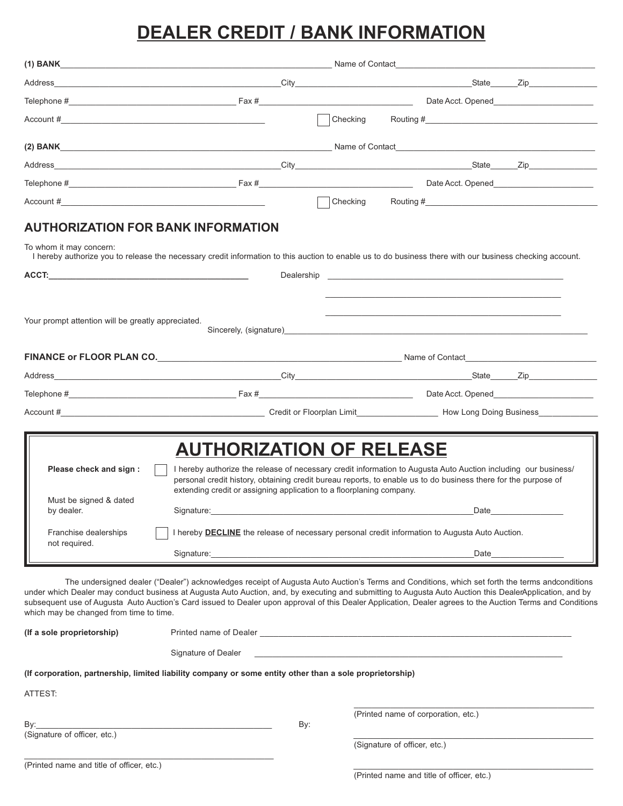# **DEALER CREDIT / BANK INFORMATION**

|                                        | (1) BANK Name of Contact Name of Contact Name of Contact Name of Contact Name of Contact Name of Contact Name of Contact Name of Contact Name of Contact Name of Contact Name of Contact Name of Contact Name of Contact Name |                                                                                                                                                                                                                                                                                                              |  |  |  |
|----------------------------------------|-------------------------------------------------------------------------------------------------------------------------------------------------------------------------------------------------------------------------------|--------------------------------------------------------------------------------------------------------------------------------------------------------------------------------------------------------------------------------------------------------------------------------------------------------------|--|--|--|
|                                        |                                                                                                                                                                                                                               |                                                                                                                                                                                                                                                                                                              |  |  |  |
|                                        |                                                                                                                                                                                                                               |                                                                                                                                                                                                                                                                                                              |  |  |  |
|                                        |                                                                                                                                                                                                                               | $\mathsf{Checking}$ Routing #                                                                                                                                                                                                                                                                                |  |  |  |
|                                        | (2) BANK Name of Contact Name of Contact Name of Contact Name of Contact Name of Contact Name of Contact Name of Contact Name of Contact Name of Contact Name of Contact Name of Contact Name of Contact Name of Contact Name |                                                                                                                                                                                                                                                                                                              |  |  |  |
|                                        |                                                                                                                                                                                                                               |                                                                                                                                                                                                                                                                                                              |  |  |  |
|                                        |                                                                                                                                                                                                                               |                                                                                                                                                                                                                                                                                                              |  |  |  |
|                                        |                                                                                                                                                                                                                               |                                                                                                                                                                                                                                                                                                              |  |  |  |
| To whom it may concern:                | AUTHORIZATION FOR BANK INFORMATION                                                                                                                                                                                            | I hereby authorize you to release the necessary credit information to this auction to enable us to do business there with our business checking account.                                                                                                                                                     |  |  |  |
|                                        |                                                                                                                                                                                                                               | Dealership and the contract of the contract of the contract of the contract of the contract of the contract of the contract of the contract of the contract of the contract of the contract of the contract of the contract of                                                                               |  |  |  |
|                                        |                                                                                                                                                                                                                               | Sincerely, (signature) Sincerely and the state of the state of the state of the state of the state of the state of the state of the state of the state of the state of the state of the state of the state of the state of the<br>FINANCE or FLOOR PLAN CO. The COLOR COMPUTER CONSUMING THE NAME Of Contact |  |  |  |
|                                        |                                                                                                                                                                                                                               |                                                                                                                                                                                                                                                                                                              |  |  |  |
|                                        |                                                                                                                                                                                                                               |                                                                                                                                                                                                                                                                                                              |  |  |  |
|                                        |                                                                                                                                                                                                                               |                                                                                                                                                                                                                                                                                                              |  |  |  |
|                                        |                                                                                                                                                                                                                               | Account # <b>Example 2018</b> Credit or Floorplan Limit <b>Community Credit or Floorplan Limit Credit or Floorplan Limit How Long Doing Business</b>                                                                                                                                                         |  |  |  |
|                                        | <b>AUTHORIZATION OF RELEASE</b>                                                                                                                                                                                               |                                                                                                                                                                                                                                                                                                              |  |  |  |
| Please check and sign :                | extending credit or assigning application to a floorplaning company.                                                                                                                                                          | I hereby authorize the release of necessary credit information to Augusta Auto Auction including our business/<br>personal credit history, obtaining credit bureau reports, to enable us to do business there for the purpose of                                                                             |  |  |  |
| Must be signed & dated<br>by dealer.   |                                                                                                                                                                                                                               |                                                                                                                                                                                                                                                                                                              |  |  |  |
| Franchise dealerships<br>not required. | I hereby <b>DECLINE</b> the release of necessary personal credit information to Augusta Auto Auction.                                                                                                                         |                                                                                                                                                                                                                                                                                                              |  |  |  |

The undersigned dealer ("Dealer") acknowledges receipt of Augusta Auto Auction's Terms and Conditions, which set forth the terms andconditions under which Dealer may conduct business at Augusta Auto Auction, and, by executing and submitting to Augusta Auto Auction this DealerApplication, and by subsequent use of Augusta Auto Auction's Card issued to Dealer upon approval of this Dealer Application, Dealer agrees to the Auction Terms and Conditions which may be changed from time to time.

| (If a sole proprietorship)                | Printed name of Dealer                                                                                   |                                     |  |
|-------------------------------------------|----------------------------------------------------------------------------------------------------------|-------------------------------------|--|
|                                           | Signature of Dealer                                                                                      |                                     |  |
|                                           | (If corporation, partnership, limited liability company or some entity other than a sole proprietorship) |                                     |  |
| ATTEST:                                   |                                                                                                          |                                     |  |
| By:<br>(Signature of officer, etc.)       | By:                                                                                                      | (Printed name of corporation, etc.) |  |
| (Printed name and title of officer, etc.) |                                                                                                          | (Signature of officer, etc.)        |  |

(Printed name and title of officer, etc.)